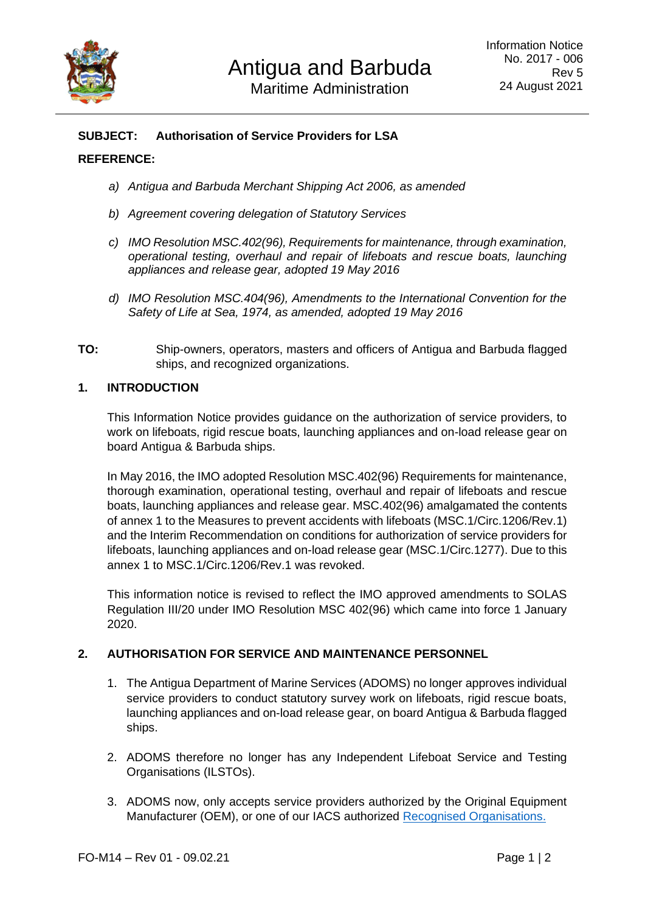

# **SUBJECT: Authorisation of Service Providers for LSA**

### **REFERENCE:**

- *a) Antigua and Barbuda Merchant Shipping Act 2006, as amended*
- *b) Agreement covering delegation of Statutory Services*
- *c) IMO Resolution MSC.402(96), Requirements for maintenance, through examination, operational testing, overhaul and repair of lifeboats and rescue boats, launching appliances and release gear, adopted 19 May 2016*
- *d) IMO Resolution MSC.404(96), Amendments to the International Convention for the Safety of Life at Sea, 1974, as amended, adopted 19 May 2016*
- **TO:** Ship-owners, operators, masters and officers of Antigua and Barbuda flagged ships, and recognized organizations.

### **1. INTRODUCTION**

This Information Notice provides guidance on the authorization of service providers, to work on lifeboats, rigid rescue boats, launching appliances and on-load release gear on board Antigua & Barbuda ships.

In May 2016, the IMO adopted Resolution MSC.402(96) Requirements for maintenance, thorough examination, operational testing, overhaul and repair of lifeboats and rescue boats, launching appliances and release gear. MSC.402(96) amalgamated the contents of annex 1 to the Measures to prevent accidents with lifeboats (MSC.1/Circ.1206/Rev.1) and the Interim Recommendation on conditions for authorization of service providers for lifeboats, launching appliances and on-load release gear (MSC.1/Circ.1277). Due to this annex 1 to MSC.1/Circ.1206/Rev.1 was revoked.

This information notice is revised to reflect the IMO approved amendments to SOLAS Regulation III/20 under IMO Resolution MSC 402(96) which came into force 1 January 2020.

### **2. AUTHORISATION FOR SERVICE AND MAINTENANCE PERSONNEL**

- 1. The Antigua Department of Marine Services (ADOMS) no longer approves individual service providers to conduct statutory survey work on lifeboats, rigid rescue boats, launching appliances and on-load release gear, on board Antigua & Barbuda flagged ships.
- 2. ADOMS therefore no longer has any Independent Lifeboat Service and Testing Organisations (ILSTOs).
- 3. ADOMS now, only accepts service providers authorized by the Original Equipment Manufacturer (OEM), or one of our IACS authorized [Recognised Organisations.](http://abregistry.ag/technical-services/recognised-organisation/)